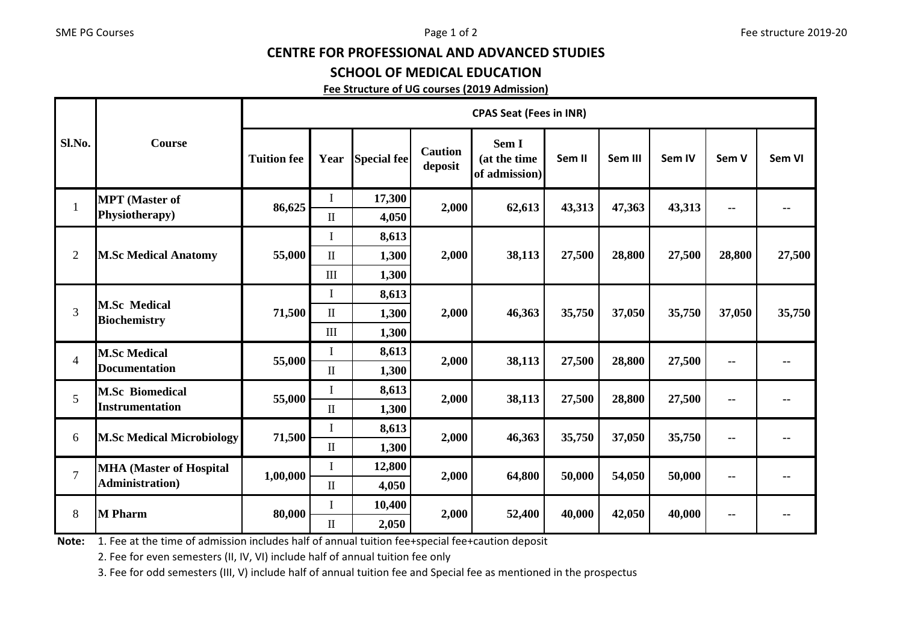## CENTRE FOR PROFESSIONAL AND ADVANCED STUDIES

## SCHOOL OF MEDICAL EDUCATION

## Fee Structure of UG courses (2019 Admission)

| Sl.No.         | <b>Course</b>                                             | <b>CPAS Seat (Fees in INR)</b> |                      |                    |                           |                                        |        |         |        |               |        |
|----------------|-----------------------------------------------------------|--------------------------------|----------------------|--------------------|---------------------------|----------------------------------------|--------|---------|--------|---------------|--------|
|                |                                                           | <b>Tuition fee</b>             | Year                 | <b>Special fee</b> | <b>Caution</b><br>deposit | Sem I<br>(at the time<br>of admission) | Sem II | Sem III | Sem IV | Sem V         | Sem VI |
| $\mathbf{1}$   | <b>MPT</b> (Master of<br>Physiotherapy)                   | 86,625                         | I                    | 17,300             | 2,000                     | 62,613                                 | 43,313 | 47,363  | 43,313 | $\sim$        |        |
|                |                                                           |                                | $\rm II$             | 4,050              |                           |                                        |        |         |        |               |        |
| $\overline{2}$ | <b>M.Sc Medical Anatomy</b>                               | 55,000                         | $\bf{I}$             | 8,613              | 2,000                     | 38,113                                 | 27,500 | 28,800  | 27,500 | 28,800        | 27,500 |
|                |                                                           |                                | $\mathbf{I}$         | 1,300              |                           |                                        |        |         |        |               |        |
|                |                                                           |                                | $\mathbf{III}$       | 1,300              |                           |                                        |        |         |        |               |        |
| 3              | <b>M.Sc Medical</b><br><b>Biochemistry</b>                | 71,500                         | $\mathbf I$          | 8,613              |                           | 46,363                                 |        |         | 35,750 | 37,050        | 35,750 |
|                |                                                           |                                | $\rm II$             | 1,300              | 2,000                     |                                        | 35,750 | 37,050  |        |               |        |
|                |                                                           |                                | III                  | 1,300              |                           |                                        |        |         |        |               |        |
| $\overline{4}$ | <b>M.Sc Medical</b><br><b>Documentation</b>               | 55,000                         | $\bf{I}$             | 8,613              | 2,000                     | 38,113                                 | 27,500 | 28,800  | 27,500 | $\sim$        |        |
|                |                                                           |                                | $\mathbf{I}$         | 1,300              |                           |                                        |        |         |        |               |        |
| 5              | <b>M.Sc Biomedical</b><br><b>Instrumentation</b>          | 55,000                         | I                    | 8,613              | 2,000                     | 38,113                                 | 27,500 | 28,800  | 27,500 | $\sim$        |        |
|                |                                                           |                                | $\mathbf{I}$         | 1,300              |                           |                                        |        |         |        |               |        |
| 6              | <b>M.Sc Medical Microbiology</b>                          | 71,500                         | L                    | 8,613              | 2,000                     | 46,363                                 | 35,750 | 37,050  | 35,750 | $\sim$        |        |
|                |                                                           |                                | $\rm II$             | 1,300              |                           |                                        |        |         |        |               |        |
| $\overline{7}$ | <b>MHA (Master of Hospital</b><br><b>Administration</b> ) | 1,00,000                       | $\bf{I}$             | 12,800             | 2,000                     | 64,800                                 | 50,000 | 54,050  | 50,000 | $\sim$ $\sim$ |        |
|                |                                                           |                                | $\scriptstyle\rm II$ | 4,050              |                           |                                        |        |         |        |               |        |
| 8              | <b>M</b> Pharm                                            | 80,000                         | $\mathbf I$          | 10,400             | 2,000                     | 52,400                                 | 40,000 | 42,050  | 40,000 | $\sim$        |        |
|                |                                                           |                                | $\mathbf{I}$         | 2,050              |                           |                                        |        |         |        |               |        |

Note: 1. Fee at the time of admission includes half of annual tuition fee+special fee+caution deposit

2. Fee for even semesters (II, IV, VI) include half of annual tuition fee only

3. Fee for odd semesters (III, V) include half of annual tuition fee and Special fee as mentioned in the prospectus